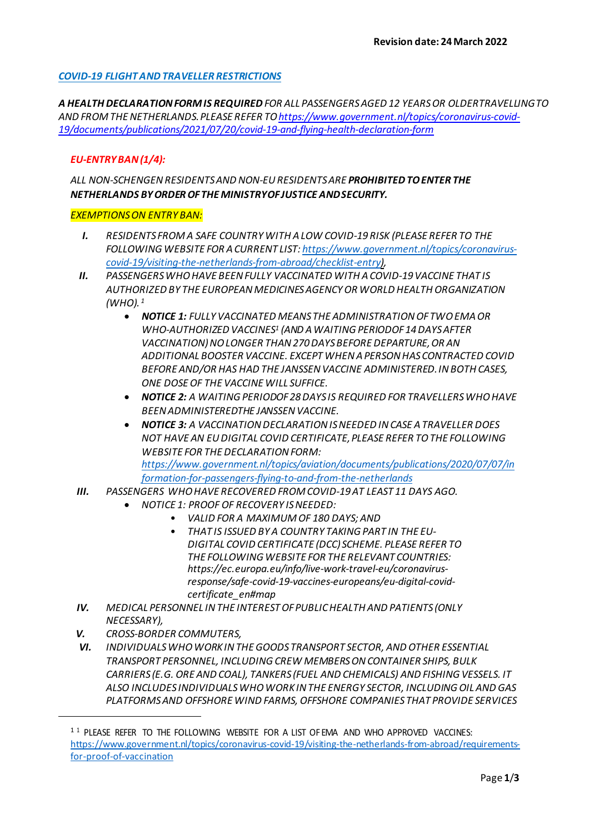# *COVID-19 FLIGHTANDTRAVELLER RESTRICTIONS*

*A HEALTH DECLARATION FORM IS REQUIRED FOR ALL PASSENGERS AGED 12 YEARS OR OLDERTRAVELLINGTO AND FROM THENETHERLANDS. PLEASE REFER T[O https://www.government.nl/topics/coronavirus-covid-](https://www.government.nl/topics/coronavirus-covid-19/documents/publications/2021/07/20/covid-19-and-flying-health-declaration-form)[19/documents/publications/2021/07/20/covid-19-and-flying-health-declaration-form](https://www.government.nl/topics/coronavirus-covid-19/documents/publications/2021/07/20/covid-19-and-flying-health-declaration-form)*

### *EU-ENTRYBAN (1/4):*

*ALL NON-SCHENGEN RESIDENTS AND NON-EU RESIDENTS ARE PROHIBITED TO ENTER THE NETHERLANDS BYORDEROFTHE MINISTRYOFJUSTICE ANDSECURITY.*

#### *EXEMPTIONSON ENTRY BAN:*

- *I. RESIDENTS FROM A SAFE COUNTRY WITH A LOW COVID-19 RISK (PLEASE REFER TO THE FOLLOWING WEBSITE FOR A CURRENT LIST: [https://www.government.nl/topics/coronavirus](https://www.government.nl/topics/coronavirus-covid-19/visiting-the-netherlands-from-abroad/checklist-entry)[covid-19/visiting-the-netherlands-from-abroad/checklist-entry\)](https://www.government.nl/topics/coronavirus-covid-19/visiting-the-netherlands-from-abroad/checklist-entry),*
- *II. PASSENGERS WHO HAVE BEEN FULLY VACCINATED WITH A COVID-19 VACCINE THAT IS AUTHORIZED BY THE EUROPEANMEDICINESAGENCYOR WORLD HEALTHORGANIZATION (WHO). [1](#page-0-0)*
	- *NOTICE 1: FULLY VACCINATED MEANS THE ADMINISTRATION OF TWO EMA OR WHO-AUTHORIZED VACCINE[S1](#page-1-0) (AND A WAITING PERIODOF 14 DAYS AFTER VACCINATION)NOLONGER THAN270DAYSBEFORE DEPARTURE,OR AN ADDITIONAL BOOSTER VACCINE. EXCEPT WHEN A PERSON HAS CONTRACTED COVID BEFORE AND/OR HAS HAD THE JANSSEN VACCINE ADMINISTERED. IN BOTH CASES, ONE DOSEOF THE VACCINE WILL SUFFICE.*
	- *NOTICE 2: A WAITING PERIODOF 28 DAYS IS REQUIRED FOR TRAVELLERS WHO HAVE BEENADMINISTEREDTHE JANSSENVACCINE.*
	- *NOTICE 3: A VACCINATION DECLARATION IS NEEDED IN CASE A TRAVELLER DOES NOT HAVE AN EU DIGITAL COVID CERTIFICATE, PLEASE REFER TO THE FOLLOWING WEBSITE FOR THE DECLARATION FORM: [https://www.government.nl/topics/aviation/documents/publications/2020/07/07/in](https://www.government.nl/topics/aviation/documents/publications/2020/07/07/information-for-passengers-flying-to-and-from-the-netherlands) [formation-for-passengers-flying-to-and-from-the-netherlands](https://www.government.nl/topics/aviation/documents/publications/2020/07/07/information-for-passengers-flying-to-and-from-the-netherlands)*
- *III. PASSENGERS WHO HAVE RECOVERED FROM COVID-19 AT LEAST 11 DAYS AGO.*
	- *NOTICE 1: PROOF OF RECOVERY IS NEEDED:*
		- *VALID FOR A MAXIMUM OF 180 DAYS; AND*
		- *THAT IS ISSUED BY A COUNTRY TAKING PART IN THE EU-DIGITAL COVID CERTIFICATE (DCC) SCHEME. PLEASE REFER TO THE FOLLOWING WEBSITE FOR THE RELEVANT COUNTRIES: https://ec.europa.eu/info/live-work-travel-eu/coronavirusresponse/safe-covid-19-vaccines-europeans/eu-digital-covidcertificate\_en#map*
- *IV. MEDICAL PERSONNEL IN THE INTEREST OF PUBLIC HEALTH AND PATIENTS (ONLY NECESSARY),*
- *V. CROSS-BORDER COMMUTERS,*
- *VI. INDIVIDUALS WHO WORK IN THE GOODS TRANSPORT SECTOR, AND OTHER ESSENTIAL TRANSPORT PERSONNEL, INCLUDINGCREW MEMBERSONCONTAINER SHIPS, BULK CARRIERS (E.G. ORE AND COAL), TANKERS (FUEL AND CHEMICALS) AND FISHING VESSELS. IT ALSO INCLUDES INDIVIDUALS WHO WORK IN THE ENERGY SECTOR, INCLUDING OIL AND GAS PLATFORMS AND OFFSHORE WIND FARMS, OFFSHORE COMPANIES THAT PROVIDE SERVICES*

<span id="page-0-0"></span><sup>&</sup>lt;sup>1 1</sup> PLEASE REFER TO THE FOLLOWING WEBSITE FOR A LIST OF EMA AND WHO APPROVED VACCINES: [https://www.government.nl/topics/coronavirus-covid-19/visiting-the-netherlands-from-abroad/requirements](https://www.government.nl/topics/coronavirus-covid-19/visiting-the-netherlands-from-abroad/requirements-for-proof-of-vaccination)[for-proof-of-vaccination](https://www.government.nl/topics/coronavirus-covid-19/visiting-the-netherlands-from-abroad/requirements-for-proof-of-vaccination)